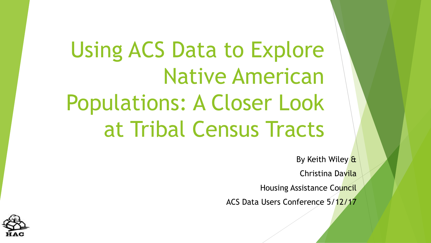Using ACS Data to Explore Native American Populations: A Closer Look at Tribal Census Tracts

By Keith Wiley &

Christina Davila

Housing Assistance Council

ACS Data Users Conference 5/12/17

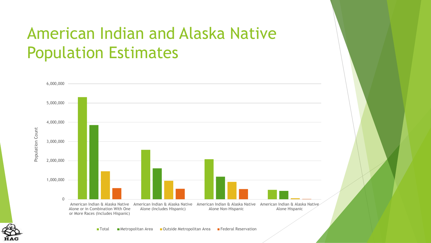# American Indian and Alaska Native Population Estimates



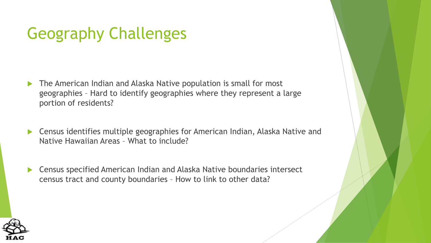# Geography Challenges

- The American Indian and Alaska Native population is small for most geographies – Hard to identify geographies where they represent a large portion of residents?
- Census identifies multiple geographies for American Indian, Alaska Native and Native Hawaiian Areas – What to include?
- ▶ Census specified American Indian and Alaska Native boundaries intersect census tract and county boundaries – How to link to other data?

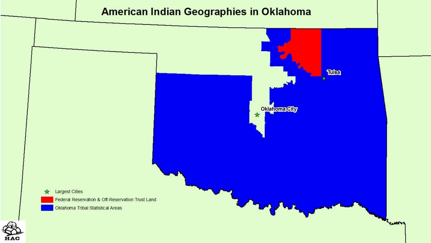



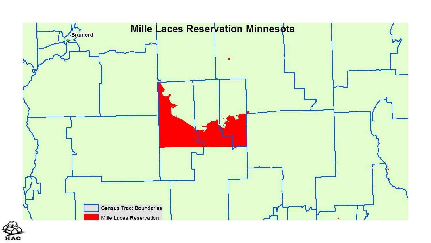

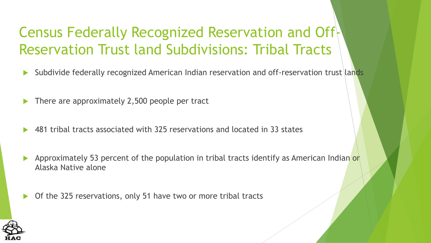### Census Federally Recognized Reservation and Off-Reservation Trust land Subdivisions: Tribal Tracts

- Subdivide federally recognized American Indian reservation and off-reservation trust lands
- There are approximately 2,500 people per tract
- 481 tribal tracts associated with 325 reservations and located in 33 states
- Approximately 53 percent of the population in tribal tracts identify as American Indian or Alaska Native alone
- Of the 325 reservations, only 51 have two or more tribal tracts

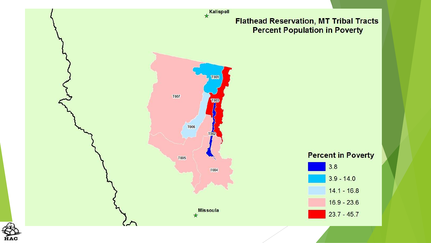

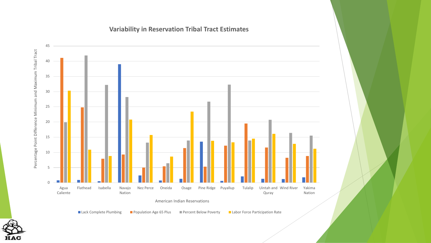#### **Variability in Reservation Tribal Tract Estimates**



■ Lack Complete Plumbing ■ Population Age 65 Plus ■ Percent Below Poverty ■ Labor Force Participation Rate

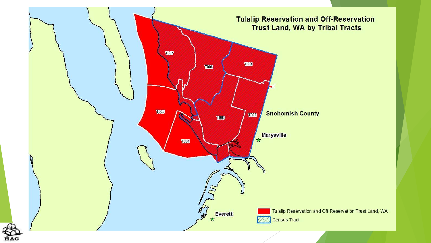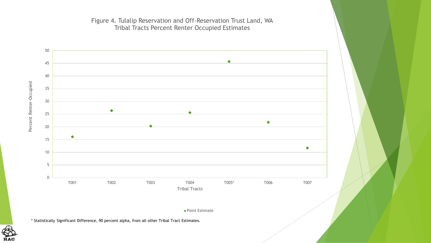

Figure 4. Tulalip Reservation and Off-Reservation Trust Land, WA Tribal Tracts Percent Renter Occupied Estimates

Point Estimate

\* Statistically Significant Difference, 90 percent alpha, from all other Tribal Tract Estimates.

**HAC**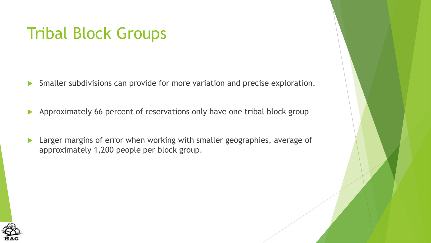## Tribal Block Groups

- Smaller subdivisions can provide for more variation and precise exploration.
- Approximately 66 percent of reservations only have one tribal block group
- **Larger margins of error when working with smaller geographies, average of** approximately 1,200 people per block group.